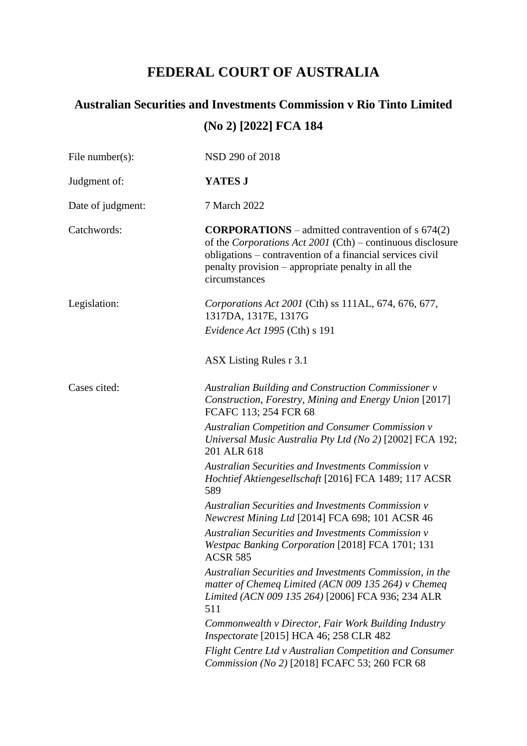## **FEDERAL COURT OF AUSTRALIA**

| File number( $s$ ): | NSD 290 of 2018                                                                                                                                                                                                                                              |  |  |  |  |
|---------------------|--------------------------------------------------------------------------------------------------------------------------------------------------------------------------------------------------------------------------------------------------------------|--|--|--|--|
| Judgment of:        | YATES J                                                                                                                                                                                                                                                      |  |  |  |  |
| Date of judgment:   | 7 March 2022                                                                                                                                                                                                                                                 |  |  |  |  |
| Catchwords:         | <b>CORPORATIONS</b> – admitted contravention of $s$ 674(2)<br>of the Corporations Act 2001 (Cth) - continuous disclosure<br>obligations – contravention of a financial services civil<br>penalty provision – appropriate penalty in all the<br>circumstances |  |  |  |  |
| Legislation:        | Corporations Act 2001 (Cth) ss 111AL, 674, 676, 677,<br>1317DA, 1317E, 1317G                                                                                                                                                                                 |  |  |  |  |
|                     | Evidence Act 1995 (Cth) s 191                                                                                                                                                                                                                                |  |  |  |  |
|                     | ASX Listing Rules r 3.1                                                                                                                                                                                                                                      |  |  |  |  |
| Cases cited:        | <b>Australian Building and Construction Commissioner v</b><br>Construction, Forestry, Mining and Energy Union [2017]<br>FCAFC 113; 254 FCR 68                                                                                                                |  |  |  |  |
|                     | <b>Australian Competition and Consumer Commission v</b><br>Universal Music Australia Pty Ltd (No 2) [2002] FCA 192;<br>201 ALR 618                                                                                                                           |  |  |  |  |
|                     | <b>Australian Securities and Investments Commission v</b><br>Hochtief Aktiengesellschaft [2016] FCA 1489; 117 ACSR<br>589                                                                                                                                    |  |  |  |  |
|                     | Australian Securities and Investments Commission v<br>Newcrest Mining Ltd [2014] FCA 698; 101 ACSR 46                                                                                                                                                        |  |  |  |  |
|                     | <b>Australian Securities and Investments Commission v</b><br>Westpac Banking Corporation [2018] FCA 1701; 131<br><b>ACSR 585</b>                                                                                                                             |  |  |  |  |
|                     | Australian Securities and Investments Commission, in the<br>matter of Chemeg Limited (ACN 009 135 264) v Chemeg<br>Limited (ACN 009 135 264) [2006] FCA 936; 234 ALR<br>511                                                                                  |  |  |  |  |
|                     | Commonwealth v Director, Fair Work Building Industry<br><i>Inspectorate</i> [2015] HCA 46; 258 CLR 482                                                                                                                                                       |  |  |  |  |
|                     | Flight Centre Ltd v Australian Competition and Consumer<br>Commission (No 2) [2018] FCAFC 53; 260 FCR 68                                                                                                                                                     |  |  |  |  |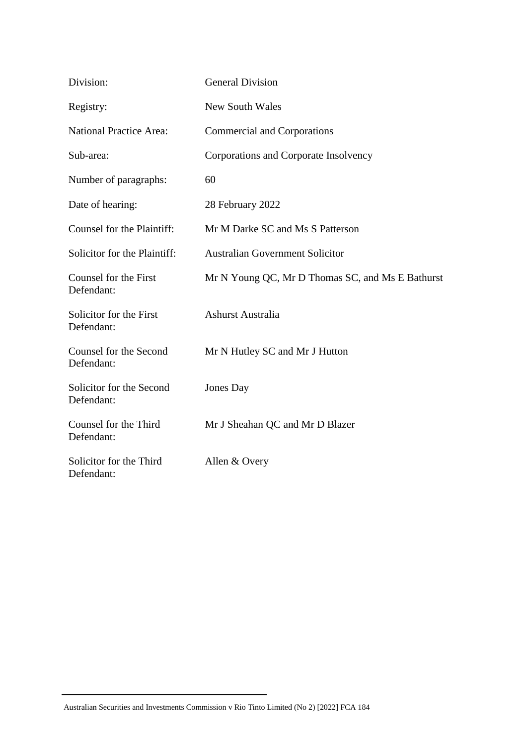| Division:                              | <b>General Division</b>                          |  |  |  |
|----------------------------------------|--------------------------------------------------|--|--|--|
| Registry:                              | <b>New South Wales</b>                           |  |  |  |
| <b>National Practice Area:</b>         | <b>Commercial and Corporations</b>               |  |  |  |
| Sub-area:                              | Corporations and Corporate Insolvency            |  |  |  |
| Number of paragraphs:                  | 60                                               |  |  |  |
| Date of hearing:                       | 28 February 2022                                 |  |  |  |
| Counsel for the Plaintiff:             | Mr M Darke SC and Ms S Patterson                 |  |  |  |
| Solicitor for the Plaintiff:           | <b>Australian Government Solicitor</b>           |  |  |  |
| Counsel for the First<br>Defendant:    | Mr N Young QC, Mr D Thomas SC, and Ms E Bathurst |  |  |  |
| Solicitor for the First<br>Defendant:  | Ashurst Australia                                |  |  |  |
| Counsel for the Second<br>Defendant:   | Mr N Hutley SC and Mr J Hutton                   |  |  |  |
| Solicitor for the Second<br>Defendant: | Jones Day                                        |  |  |  |
| Counsel for the Third<br>Defendant:    | Mr J Sheahan QC and Mr D Blazer                  |  |  |  |
| Solicitor for the Third<br>Defendant:  | Allen & Overy                                    |  |  |  |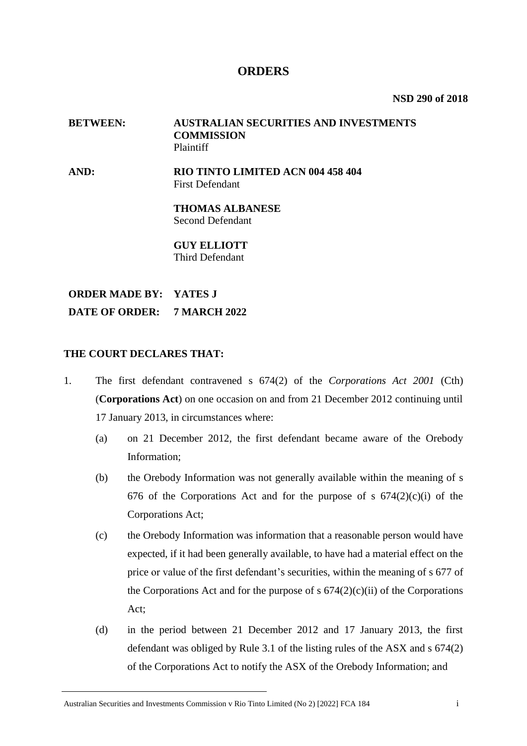## **ORDERS**

**NSD 290 of 2018**

#### **BETWEEN: AUSTRALIAN SECURITIES AND INVESTMENTS COMMISSION** Plaintiff

**AND: RIO TINTO LIMITED ACN 004 458 404** First Defendant

> **THOMAS ALBANESE** Second Defendant

#### **GUY ELLIOTT** Third Defendant

**ORDER MADE BY: YATES J DATE OF ORDER: 7 MARCH 2022**

#### **THE COURT DECLARES THAT:**

- 1. The first defendant contravened s 674(2) of the *Corporations Act 2001* (Cth) (**Corporations Act**) on one occasion on and from 21 December 2012 continuing until 17 January 2013, in circumstances where:
	- (a) on 21 December 2012, the first defendant became aware of the Orebody Information;
	- (b) the Orebody Information was not generally available within the meaning of s 676 of the Corporations Act and for the purpose of s  $674(2)(c)(i)$  of the Corporations Act;
	- (c) the Orebody Information was information that a reasonable person would have expected, if it had been generally available, to have had a material effect on the price or value of the first defendant's securities, within the meaning of s 677 of the Corporations Act and for the purpose of s  $674(2)(c)(ii)$  of the Corporations Act;
	- (d) in the period between 21 December 2012 and 17 January 2013, the first defendant was obliged by Rule 3.1 of the listing rules of the ASX and s 674(2) of the Corporations Act to notify the ASX of the Orebody Information; and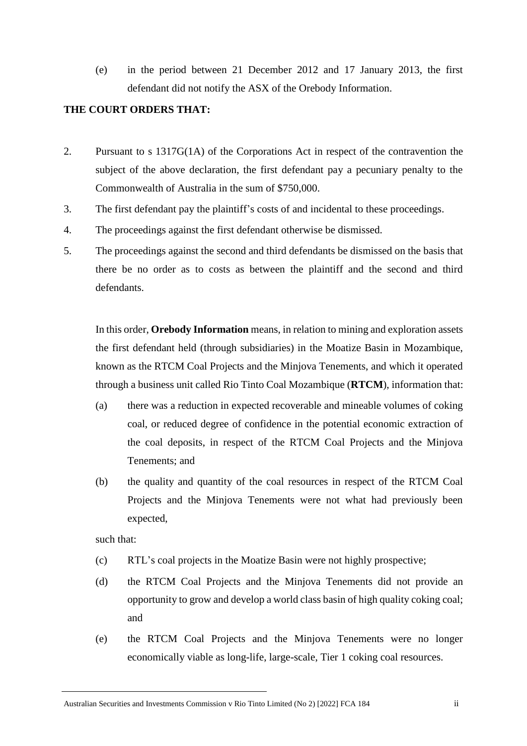(e) in the period between 21 December 2012 and 17 January 2013, the first defendant did not notify the ASX of the Orebody Information.

#### **THE COURT ORDERS THAT:**

- 2. Pursuant to s 1317G(1A) of the Corporations Act in respect of the contravention the subject of the above declaration, the first defendant pay a pecuniary penalty to the Commonwealth of Australia in the sum of \$750,000.
- 3. The first defendant pay the plaintiff's costs of and incidental to these proceedings.
- 4. The proceedings against the first defendant otherwise be dismissed.
- 5. The proceedings against the second and third defendants be dismissed on the basis that there be no order as to costs as between the plaintiff and the second and third defendants.

In this order, **Orebody Information** means, in relation to mining and exploration assets the first defendant held (through subsidiaries) in the Moatize Basin in Mozambique, known as the RTCM Coal Projects and the Minjova Tenements, and which it operated through a business unit called Rio Tinto Coal Mozambique (**RTCM**), information that:

- (a) there was a reduction in expected recoverable and mineable volumes of coking coal, or reduced degree of confidence in the potential economic extraction of the coal deposits, in respect of the RTCM Coal Projects and the Minjova Tenements; and
- (b) the quality and quantity of the coal resources in respect of the RTCM Coal Projects and the Minjova Tenements were not what had previously been expected,

such that:

- (c) RTL's coal projects in the Moatize Basin were not highly prospective;
- (d) the RTCM Coal Projects and the Minjova Tenements did not provide an opportunity to grow and develop a world class basin of high quality coking coal; and
- (e) the RTCM Coal Projects and the Minjova Tenements were no longer economically viable as long-life, large-scale, Tier 1 coking coal resources.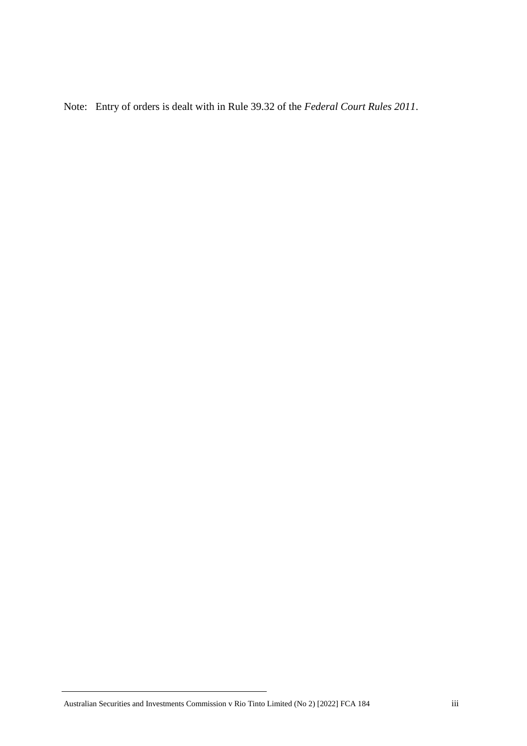Note: Entry of orders is dealt with in Rule 39.32 of the *Federal Court Rules 2011*.

Australian Securities and Investments Commission v Rio Tinto Limited (No 2) [2022] FCA 184 iii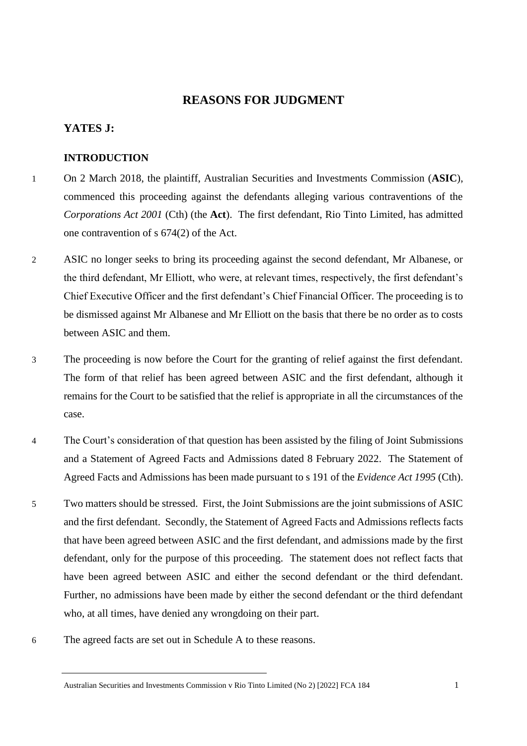## **REASONS FOR JUDGMENT**

#### **YATES J:**

#### **INTRODUCTION**

- 1 On 2 March 2018, the plaintiff, Australian Securities and Investments Commission (**ASIC**), commenced this proceeding against the defendants alleging various contraventions of the *Corporations Act 2001* (Cth) (the **Act**). The first defendant, Rio Tinto Limited, has admitted one contravention of s 674(2) of the Act.
- 2 ASIC no longer seeks to bring its proceeding against the second defendant, Mr Albanese, or the third defendant, Mr Elliott, who were, at relevant times, respectively, the first defendant's Chief Executive Officer and the first defendant's Chief Financial Officer. The proceeding is to be dismissed against Mr Albanese and Mr Elliott on the basis that there be no order as to costs between ASIC and them.
- 3 The proceeding is now before the Court for the granting of relief against the first defendant. The form of that relief has been agreed between ASIC and the first defendant, although it remains for the Court to be satisfied that the relief is appropriate in all the circumstances of the case.
- 4 The Court's consideration of that question has been assisted by the filing of Joint Submissions and a Statement of Agreed Facts and Admissions dated 8 February 2022. The Statement of Agreed Facts and Admissions has been made pursuant to s 191 of the *Evidence Act 1995* (Cth).
- 5 Two matters should be stressed. First, the Joint Submissions are the joint submissions of ASIC and the first defendant. Secondly, the Statement of Agreed Facts and Admissions reflects facts that have been agreed between ASIC and the first defendant, and admissions made by the first defendant, only for the purpose of this proceeding. The statement does not reflect facts that have been agreed between ASIC and either the second defendant or the third defendant. Further, no admissions have been made by either the second defendant or the third defendant who, at all times, have denied any wrongdoing on their part.
- 6 The agreed facts are set out in Schedule A to these reasons.

Australian Securities and Investments Commission v Rio Tinto Limited (No 2) [2022] FCA 184 1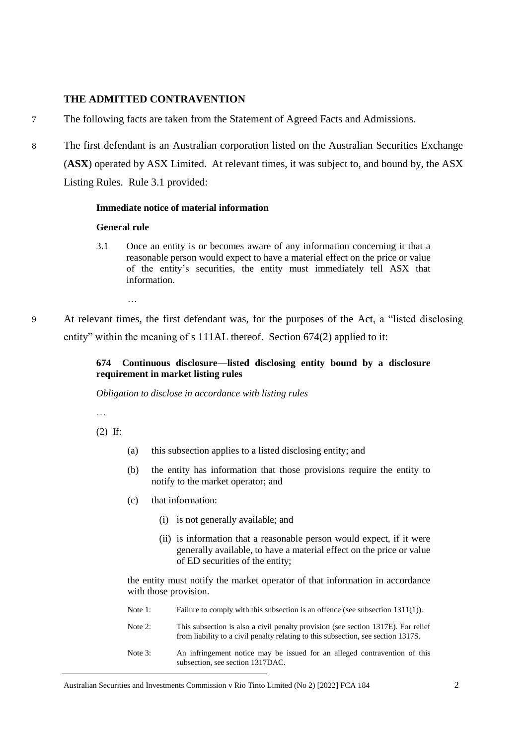#### **THE ADMITTED CONTRAVENTION**

- 7 The following facts are taken from the Statement of Agreed Facts and Admissions.
- 8 The first defendant is an Australian corporation listed on the Australian Securities Exchange (**ASX**) operated by ASX Limited. At relevant times, it was subject to, and bound by, the ASX Listing Rules. Rule 3.1 provided:

#### **Immediate notice of material information**

#### **General rule**

- 3.1 Once an entity is or becomes aware of any information concerning it that a reasonable person would expect to have a material effect on the price or value of the entity's securities, the entity must immediately tell ASX that information.
	- …
- 9 At relevant times, the first defendant was, for the purposes of the Act, a "listed disclosing entity" within the meaning of s 111AL thereof. Section 674(2) applied to it:

#### **674 Continuous disclosure—listed disclosing entity bound by a disclosure requirement in market listing rules**

*Obligation to disclose in accordance with listing rules*

…

(2) If:

- (a) this subsection applies to a listed disclosing entity; and
- (b) the entity has information that those provisions require the entity to notify to the market operator; and
- (c) that information:
	- (i) is not generally available; and
	- (ii) is information that a reasonable person would expect, if it were generally available, to have a material effect on the price or value of ED securities of the entity;

the entity must notify the market operator of that information in accordance with those provision.

- Note 1: Failure to comply with this subsection is an offence (see subsection 1311(1)).
- Note 2: This subsection is also a civil penalty provision (see section 1317E). For relief from liability to a civil penalty relating to this subsection, see section 1317S.
- Note 3: An infringement notice may be issued for an alleged contravention of this subsection, see section 1317DAC.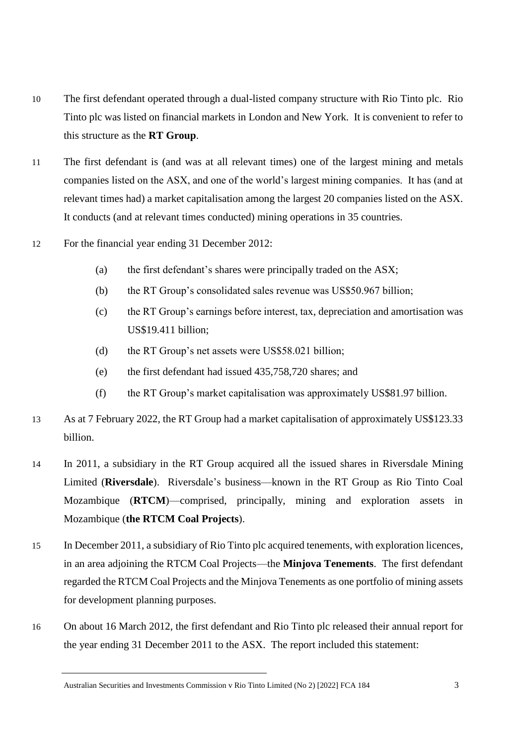- 10 The first defendant operated through a dual-listed company structure with Rio Tinto plc. Rio Tinto plc was listed on financial markets in London and New York. It is convenient to refer to this structure as the **RT Group**.
- 11 The first defendant is (and was at all relevant times) one of the largest mining and metals companies listed on the ASX, and one of the world's largest mining companies. It has (and at relevant times had) a market capitalisation among the largest 20 companies listed on the ASX. It conducts (and at relevant times conducted) mining operations in 35 countries.
- 12 For the financial year ending 31 December 2012:
	- (a) the first defendant's shares were principally traded on the ASX;
	- (b) the RT Group's consolidated sales revenue was US\$50.967 billion;
	- (c) the RT Group's earnings before interest, tax, depreciation and amortisation was US\$19.411 billion;
	- (d) the RT Group's net assets were US\$58.021 billion;
	- (e) the first defendant had issued 435,758,720 shares; and
	- (f) the RT Group's market capitalisation was approximately US\$81.97 billion.
- 13 As at 7 February 2022, the RT Group had a market capitalisation of approximately US\$123.33 billion.
- 14 In 2011, a subsidiary in the RT Group acquired all the issued shares in Riversdale Mining Limited (**Riversdale**). Riversdale's business—known in the RT Group as Rio Tinto Coal Mozambique (**RTCM**)—comprised, principally, mining and exploration assets in Mozambique (**the RTCM Coal Projects**).
- 15 In December 2011, a subsidiary of Rio Tinto plc acquired tenements, with exploration licences, in an area adjoining the RTCM Coal Projects—the **Minjova Tenements**. The first defendant regarded the RTCM Coal Projects and the Minjova Tenements as one portfolio of mining assets for development planning purposes.
- 16 On about 16 March 2012, the first defendant and Rio Tinto plc released their annual report for the year ending 31 December 2011 to the ASX. The report included this statement: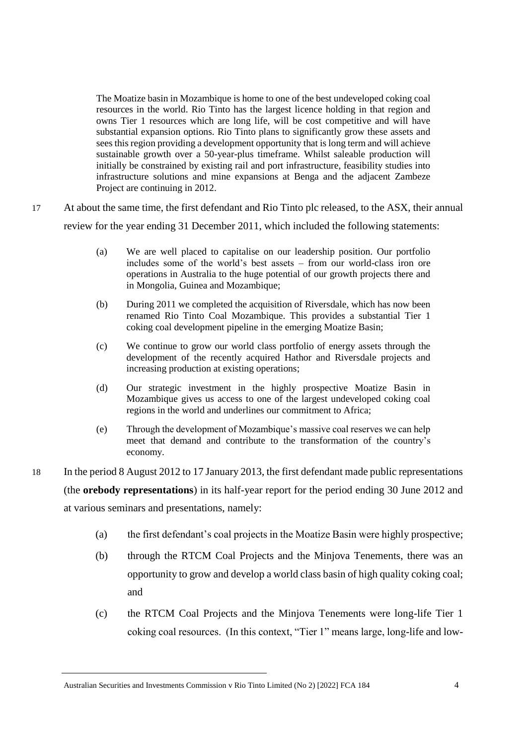The Moatize basin in Mozambique is home to one of the best undeveloped coking coal resources in the world. Rio Tinto has the largest licence holding in that region and owns Tier 1 resources which are long life, will be cost competitive and will have substantial expansion options. Rio Tinto plans to significantly grow these assets and sees this region providing a development opportunity that is long term and will achieve sustainable growth over a 50-year-plus timeframe. Whilst saleable production will initially be constrained by existing rail and port infrastructure, feasibility studies into infrastructure solutions and mine expansions at Benga and the adjacent Zambeze Project are continuing in 2012.

- 17 At about the same time, the first defendant and Rio Tinto plc released, to the ASX, their annual review for the year ending 31 December 2011, which included the following statements:
	- (a) We are well placed to capitalise on our leadership position. Our portfolio includes some of the world's best assets – from our world-class iron ore operations in Australia to the huge potential of our growth projects there and in Mongolia, Guinea and Mozambique;
	- (b) During 2011 we completed the acquisition of Riversdale, which has now been renamed Rio Tinto Coal Mozambique. This provides a substantial Tier 1 coking coal development pipeline in the emerging Moatize Basin;
	- (c) We continue to grow our world class portfolio of energy assets through the development of the recently acquired Hathor and Riversdale projects and increasing production at existing operations;
	- (d) Our strategic investment in the highly prospective Moatize Basin in Mozambique gives us access to one of the largest undeveloped coking coal regions in the world and underlines our commitment to Africa;
	- (e) Through the development of Mozambique's massive coal reserves we can help meet that demand and contribute to the transformation of the country's economy.
- 18 In the period 8 August 2012 to 17 January 2013, the first defendant made public representations (the **orebody representations**) in its half-year report for the period ending 30 June 2012 and at various seminars and presentations, namely:
	- (a) the first defendant's coal projects in the Moatize Basin were highly prospective;
	- (b) through the RTCM Coal Projects and the Minjova Tenements, there was an opportunity to grow and develop a world class basin of high quality coking coal; and
	- (c) the RTCM Coal Projects and the Minjova Tenements were long-life Tier 1 coking coal resources. (In this context, "Tier 1" means large, long-life and low-

Australian Securities and Investments Commission v Rio Tinto Limited (No 2) [2022] FCA 184 4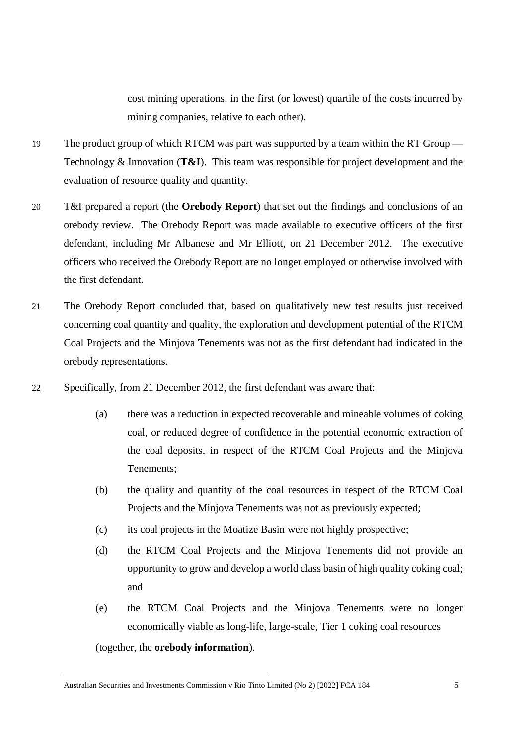cost mining operations, in the first (or lowest) quartile of the costs incurred by mining companies, relative to each other).

- 19 The product group of which RTCM was part was supported by a team within the RT Group Technology & Innovation (**T&I**). This team was responsible for project development and the evaluation of resource quality and quantity.
- 20 T&I prepared a report (the **Orebody Report**) that set out the findings and conclusions of an orebody review. The Orebody Report was made available to executive officers of the first defendant, including Mr Albanese and Mr Elliott, on 21 December 2012. The executive officers who received the Orebody Report are no longer employed or otherwise involved with the first defendant.
- 21 The Orebody Report concluded that, based on qualitatively new test results just received concerning coal quantity and quality, the exploration and development potential of the RTCM Coal Projects and the Minjova Tenements was not as the first defendant had indicated in the orebody representations.
- 22 Specifically, from 21 December 2012, the first defendant was aware that:
	- (a) there was a reduction in expected recoverable and mineable volumes of coking coal, or reduced degree of confidence in the potential economic extraction of the coal deposits, in respect of the RTCM Coal Projects and the Minjova Tenements;
	- (b) the quality and quantity of the coal resources in respect of the RTCM Coal Projects and the Minjova Tenements was not as previously expected;
	- (c) its coal projects in the Moatize Basin were not highly prospective;
	- (d) the RTCM Coal Projects and the Minjova Tenements did not provide an opportunity to grow and develop a world class basin of high quality coking coal; and
	- (e) the RTCM Coal Projects and the Minjova Tenements were no longer economically viable as long-life, large-scale, Tier 1 coking coal resources

(together, the **orebody information**).

Australian Securities and Investments Commission v Rio Tinto Limited (No 2) [2022] FCA 184 5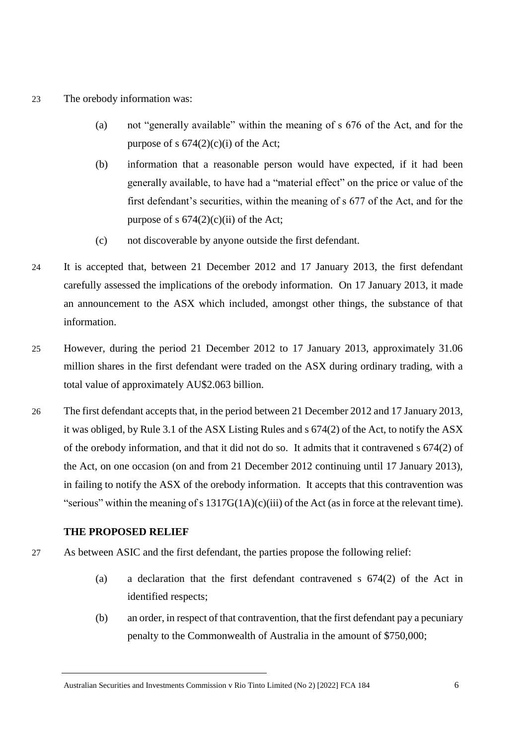#### 23 The orebody information was:

- (a) not "generally available" within the meaning of s 676 of the Act, and for the purpose of s  $674(2)(c)(i)$  of the Act;
- (b) information that a reasonable person would have expected, if it had been generally available, to have had a "material effect" on the price or value of the first defendant's securities, within the meaning of s 677 of the Act, and for the purpose of s  $674(2)(c)(ii)$  of the Act;
- (c) not discoverable by anyone outside the first defendant.
- 24 It is accepted that, between 21 December 2012 and 17 January 2013, the first defendant carefully assessed the implications of the orebody information. On 17 January 2013, it made an announcement to the ASX which included, amongst other things, the substance of that information.
- 25 However, during the period 21 December 2012 to 17 January 2013, approximately 31.06 million shares in the first defendant were traded on the ASX during ordinary trading, with a total value of approximately AU\$2.063 billion.
- 26 The first defendant accepts that, in the period between 21 December 2012 and 17 January 2013, it was obliged, by Rule 3.1 of the ASX Listing Rules and s 674(2) of the Act, to notify the ASX of the orebody information, and that it did not do so. It admits that it contravened s 674(2) of the Act, on one occasion (on and from 21 December 2012 continuing until 17 January 2013), in failing to notify the ASX of the orebody information. It accepts that this contravention was "serious" within the meaning of s 1317G(1A)(c)(iii) of the Act (as in force at the relevant time).

#### **THE PROPOSED RELIEF**

- 27 As between ASIC and the first defendant, the parties propose the following relief:
	- (a) a declaration that the first defendant contravened s 674(2) of the Act in identified respects;
	- (b) an order, in respect of that contravention, that the first defendant pay a pecuniary penalty to the Commonwealth of Australia in the amount of \$750,000;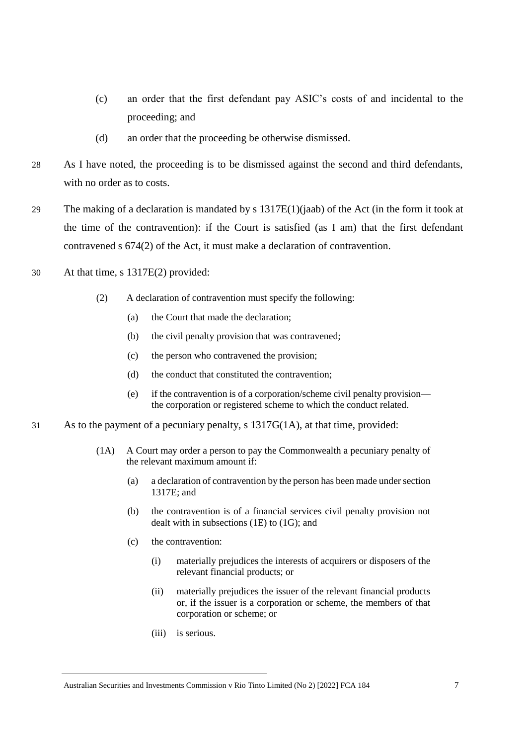- (c) an order that the first defendant pay ASIC's costs of and incidental to the proceeding; and
- (d) an order that the proceeding be otherwise dismissed.
- 28 As I have noted, the proceeding is to be dismissed against the second and third defendants, with no order as to costs.
- 29 The making of a declaration is mandated by s  $1317E(1)(iab)$  of the Act (in the form it took at the time of the contravention): if the Court is satisfied (as I am) that the first defendant contravened s 674(2) of the Act, it must make a declaration of contravention.
- 30 At that time, s 1317E(2) provided:
	- (2) A declaration of contravention must specify the following:
		- (a) the Court that made the declaration;
		- (b) the civil penalty provision that was contravened;
		- (c) the person who contravened the provision;
		- (d) the conduct that constituted the contravention;
		- (e) if the contravention is of a corporation/scheme civil penalty provision the corporation or registered scheme to which the conduct related.
- 31 As to the payment of a pecuniary penalty, s 1317G(1A), at that time, provided:
	- (1A) A Court may order a person to pay the Commonwealth a pecuniary penalty of the relevant maximum amount if:
		- (a) a declaration of contravention by the person has been made under section 1317E; and
		- (b) the contravention is of a financial services civil penalty provision not dealt with in subsections (1E) to (1G); and
		- (c) the contravention:
			- (i) materially prejudices the interests of acquirers or disposers of the relevant financial products; or
			- (ii) materially prejudices the issuer of the relevant financial products or, if the issuer is a corporation or scheme, the members of that corporation or scheme; or
			- (iii) is serious.

Australian Securities and Investments Commission v Rio Tinto Limited (No 2) [2022] FCA 184 7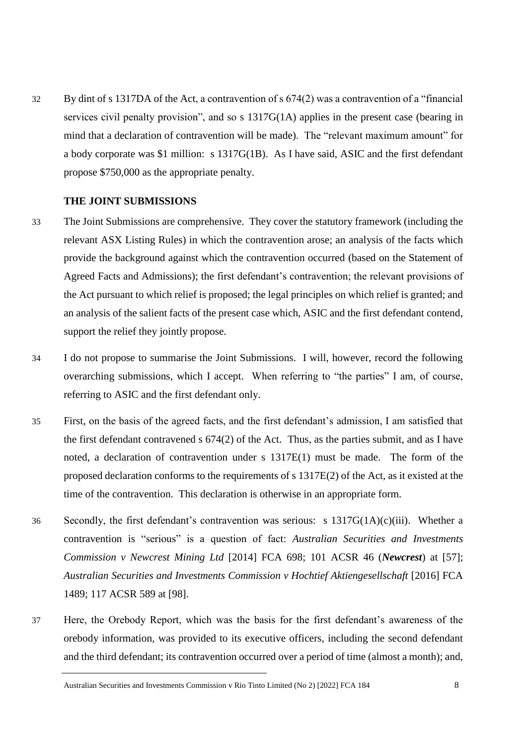32 By dint of s 1317DA of the Act, a contravention of s 674(2) was a contravention of a "financial services civil penalty provision", and so s 1317G(1A) applies in the present case (bearing in mind that a declaration of contravention will be made). The "relevant maximum amount" for a body corporate was \$1 million: s 1317G(1B). As I have said, ASIC and the first defendant propose \$750,000 as the appropriate penalty.

#### **THE JOINT SUBMISSIONS**

- 33 The Joint Submissions are comprehensive. They cover the statutory framework (including the relevant ASX Listing Rules) in which the contravention arose; an analysis of the facts which provide the background against which the contravention occurred (based on the Statement of Agreed Facts and Admissions); the first defendant's contravention; the relevant provisions of the Act pursuant to which relief is proposed; the legal principles on which relief is granted; and an analysis of the salient facts of the present case which, ASIC and the first defendant contend, support the relief they jointly propose.
- 34 I do not propose to summarise the Joint Submissions. I will, however, record the following overarching submissions, which I accept. When referring to "the parties" I am, of course, referring to ASIC and the first defendant only.
- 35 First, on the basis of the agreed facts, and the first defendant's admission, I am satisfied that the first defendant contravened s 674(2) of the Act. Thus, as the parties submit, and as I have noted, a declaration of contravention under s 1317E(1) must be made. The form of the proposed declaration conforms to the requirements of s 1317E(2) of the Act, as it existed at the time of the contravention. This declaration is otherwise in an appropriate form.
- 36 Secondly, the first defendant's contravention was serious: s 1317G(1A)(c)(iii). Whether a contravention is "serious" is a question of fact: *Australian Securities and Investments Commission v Newcrest Mining Ltd* [2014] FCA 698; 101 ACSR 46 (*Newcrest*) at [57]; *Australian Securities and Investments Commission v Hochtief Aktiengesellschaft* [2016] FCA 1489; 117 ACSR 589 at [98].
- 37 Here, the Orebody Report, which was the basis for the first defendant's awareness of the orebody information, was provided to its executive officers, including the second defendant and the third defendant; its contravention occurred over a period of time (almost a month); and,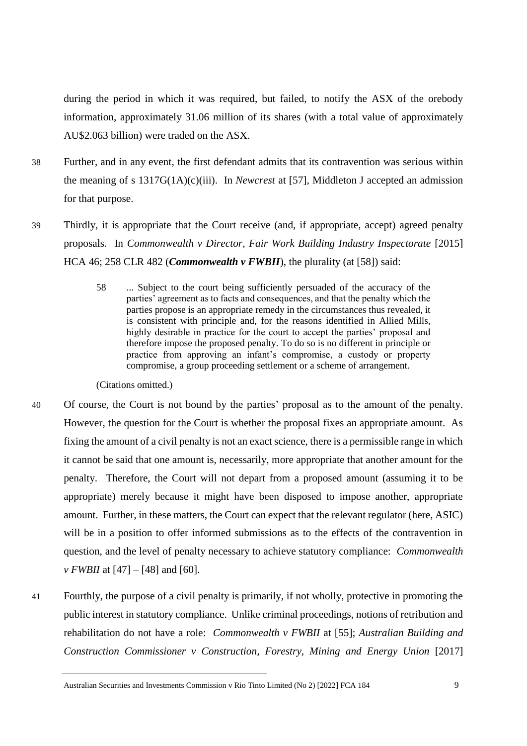during the period in which it was required, but failed, to notify the ASX of the orebody information, approximately 31.06 million of its shares (with a total value of approximately AU\$2.063 billion) were traded on the ASX.

- 38 Further, and in any event, the first defendant admits that its contravention was serious within the meaning of s 1317G(1A)(c)(iii). In *Newcrest* at [57], Middleton J accepted an admission for that purpose.
- 39 Thirdly, it is appropriate that the Court receive (and, if appropriate, accept) agreed penalty proposals. In *Commonwealth v Director, Fair Work Building Industry Inspectorate* [2015] HCA 46; 258 CLR 482 (*Commonwealth v FWBII*), the plurality (at [58]) said:
	- 58 ... Subject to the court being sufficiently persuaded of the accuracy of the parties' agreement as to facts and consequences, and that the penalty which the parties propose is an appropriate remedy in the circumstances thus revealed, it is consistent with principle and, for the reasons identified in Allied Mills, highly desirable in practice for the court to accept the parties' proposal and therefore impose the proposed penalty. To do so is no different in principle or practice from approving an infant's compromise, a custody or property compromise, a group proceeding settlement or a scheme of arrangement.

(Citations omitted.)

- 40 Of course, the Court is not bound by the parties' proposal as to the amount of the penalty. However, the question for the Court is whether the proposal fixes an appropriate amount. As fixing the amount of a civil penalty is not an exact science, there is a permissible range in which it cannot be said that one amount is, necessarily, more appropriate that another amount for the penalty. Therefore, the Court will not depart from a proposed amount (assuming it to be appropriate) merely because it might have been disposed to impose another, appropriate amount. Further, in these matters, the Court can expect that the relevant regulator (here, ASIC) will be in a position to offer informed submissions as to the effects of the contravention in question, and the level of penalty necessary to achieve statutory compliance: *Commonwealth v FWBII* at [47] – [48] and [60].
- 41 Fourthly, the purpose of a civil penalty is primarily, if not wholly, protective in promoting the public interest in statutory compliance. Unlike criminal proceedings, notions of retribution and rehabilitation do not have a role: *Commonwealth v FWBII* at [55]; *Australian Building and Construction Commissioner v Construction, Forestry, Mining and Energy Union* [2017]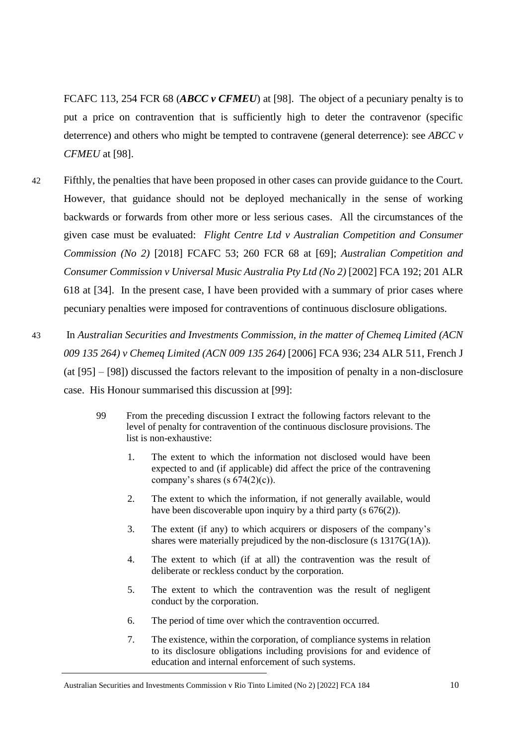FCAFC 113, 254 FCR 68 (*ABCC v CFMEU*) at [98]. The object of a pecuniary penalty is to put a price on contravention that is sufficiently high to deter the contravenor (specific deterrence) and others who might be tempted to contravene (general deterrence): see *ABCC v CFMEU* at [98].

- 42 Fifthly, the penalties that have been proposed in other cases can provide guidance to the Court. However, that guidance should not be deployed mechanically in the sense of working backwards or forwards from other more or less serious cases. All the circumstances of the given case must be evaluated: *Flight Centre Ltd v Australian Competition and Consumer Commission (No 2)* [2018] FCAFC 53; 260 FCR 68 at [69]; *Australian Competition and Consumer Commission v Universal Music Australia Pty Ltd (No 2)* [2002] FCA 192; 201 ALR 618 at [34]. In the present case, I have been provided with a summary of prior cases where pecuniary penalties were imposed for contraventions of continuous disclosure obligations.
- 43 In *Australian Securities and Investments Commission, in the matter of Chemeq Limited (ACN 009 135 264) v Chemeq Limited (ACN 009 135 264)* [2006] FCA 936; 234 ALR 511, French J (at [95] – [98]) discussed the factors relevant to the imposition of penalty in a non-disclosure case. His Honour summarised this discussion at [99]:
	- 99 From the preceding discussion I extract the following factors relevant to the level of penalty for contravention of the continuous disclosure provisions. The list is non-exhaustive:
		- 1. The extent to which the information not disclosed would have been expected to and (if applicable) did affect the price of the contravening company's shares (s  $674(2)(c)$ ).
		- 2. The extent to which the information, if not generally available, would have been discoverable upon inquiry by a third party (s  $676(2)$ ).
		- 3. The extent (if any) to which acquirers or disposers of the company's shares were materially prejudiced by the non-disclosure (s 1317G(1A)).
		- 4. The extent to which (if at all) the contravention was the result of deliberate or reckless conduct by the corporation.
		- 5. The extent to which the contravention was the result of negligent conduct by the corporation.
		- 6. The period of time over which the contravention occurred.
		- 7. The existence, within the corporation, of compliance systems in relation to its disclosure obligations including provisions for and evidence of education and internal enforcement of such systems.

Australian Securities and Investments Commission v Rio Tinto Limited (No 2) [2022] FCA 184 10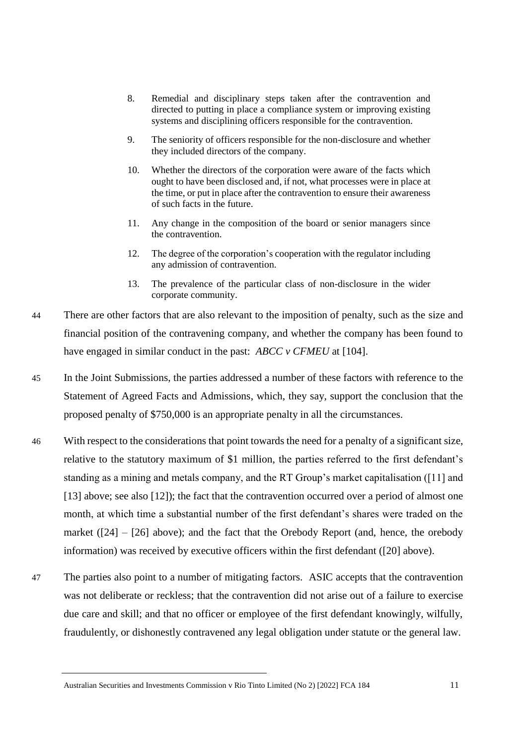- 8. Remedial and disciplinary steps taken after the contravention and directed to putting in place a compliance system or improving existing systems and disciplining officers responsible for the contravention.
- 9. The seniority of officers responsible for the non-disclosure and whether they included directors of the company.
- 10. Whether the directors of the corporation were aware of the facts which ought to have been disclosed and, if not, what processes were in place at the time, or put in place after the contravention to ensure their awareness of such facts in the future.
- 11. Any change in the composition of the board or senior managers since the contravention.
- 12. The degree of the corporation's cooperation with the regulator including any admission of contravention.
- 13. The prevalence of the particular class of non-disclosure in the wider corporate community.
- 44 There are other factors that are also relevant to the imposition of penalty, such as the size and financial position of the contravening company, and whether the company has been found to have engaged in similar conduct in the past: *ABCC v CFMEU* at [104].
- 45 In the Joint Submissions, the parties addressed a number of these factors with reference to the Statement of Agreed Facts and Admissions, which, they say, support the conclusion that the proposed penalty of \$750,000 is an appropriate penalty in all the circumstances.
- 46 With respect to the considerations that point towards the need for a penalty of a significant size, relative to the statutory maximum of \$1 million, the parties referred to the first defendant's standing as a mining and metals company, and the RT Group's market capitalisation ([11] and [13] above; see also [12]); the fact that the contravention occurred over a period of almost one month, at which time a substantial number of the first defendant's shares were traded on the market  $(24] - [26]$  above); and the fact that the Orebody Report (and, hence, the orebody information) was received by executive officers within the first defendant ([20] above).
- 47 The parties also point to a number of mitigating factors. ASIC accepts that the contravention was not deliberate or reckless; that the contravention did not arise out of a failure to exercise due care and skill; and that no officer or employee of the first defendant knowingly, wilfully, fraudulently, or dishonestly contravened any legal obligation under statute or the general law.

Australian Securities and Investments Commission v Rio Tinto Limited (No 2) [2022] FCA 184 11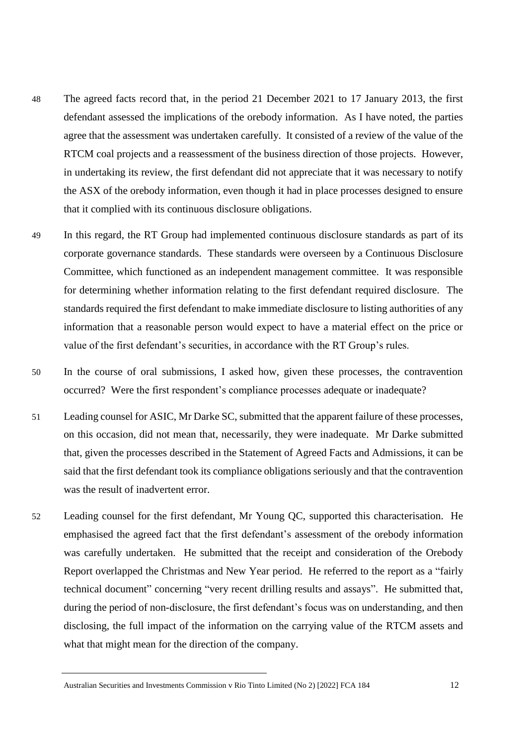- 48 The agreed facts record that, in the period 21 December 2021 to 17 January 2013, the first defendant assessed the implications of the orebody information. As I have noted, the parties agree that the assessment was undertaken carefully. It consisted of a review of the value of the RTCM coal projects and a reassessment of the business direction of those projects. However, in undertaking its review, the first defendant did not appreciate that it was necessary to notify the ASX of the orebody information, even though it had in place processes designed to ensure that it complied with its continuous disclosure obligations.
- 49 In this regard, the RT Group had implemented continuous disclosure standards as part of its corporate governance standards. These standards were overseen by a Continuous Disclosure Committee, which functioned as an independent management committee. It was responsible for determining whether information relating to the first defendant required disclosure. The standards required the first defendant to make immediate disclosure to listing authorities of any information that a reasonable person would expect to have a material effect on the price or value of the first defendant's securities, in accordance with the RT Group's rules.
- 50 In the course of oral submissions, I asked how, given these processes, the contravention occurred? Were the first respondent's compliance processes adequate or inadequate?
- 51 Leading counsel for ASIC, Mr Darke SC, submitted that the apparent failure of these processes, on this occasion, did not mean that, necessarily, they were inadequate. Mr Darke submitted that, given the processes described in the Statement of Agreed Facts and Admissions, it can be said that the first defendant took its compliance obligations seriously and that the contravention was the result of inadvertent error.
- 52 Leading counsel for the first defendant, Mr Young QC, supported this characterisation. He emphasised the agreed fact that the first defendant's assessment of the orebody information was carefully undertaken. He submitted that the receipt and consideration of the Orebody Report overlapped the Christmas and New Year period. He referred to the report as a "fairly technical document" concerning "very recent drilling results and assays". He submitted that, during the period of non-disclosure, the first defendant's focus was on understanding, and then disclosing, the full impact of the information on the carrying value of the RTCM assets and what that might mean for the direction of the company.

Australian Securities and Investments Commission v Rio Tinto Limited (No 2) [2022] FCA 184 12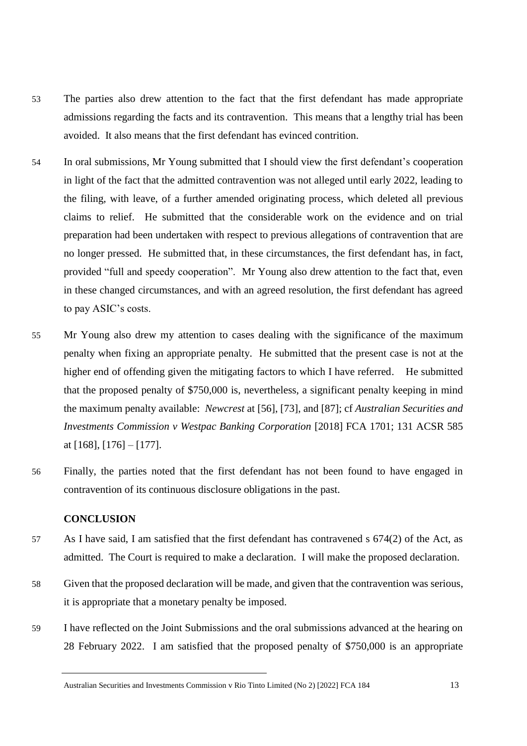- 53 The parties also drew attention to the fact that the first defendant has made appropriate admissions regarding the facts and its contravention. This means that a lengthy trial has been avoided. It also means that the first defendant has evinced contrition.
- 54 In oral submissions, Mr Young submitted that I should view the first defendant's cooperation in light of the fact that the admitted contravention was not alleged until early 2022, leading to the filing, with leave, of a further amended originating process, which deleted all previous claims to relief. He submitted that the considerable work on the evidence and on trial preparation had been undertaken with respect to previous allegations of contravention that are no longer pressed. He submitted that, in these circumstances, the first defendant has, in fact, provided "full and speedy cooperation". Mr Young also drew attention to the fact that, even in these changed circumstances, and with an agreed resolution, the first defendant has agreed to pay ASIC's costs.
- 55 Mr Young also drew my attention to cases dealing with the significance of the maximum penalty when fixing an appropriate penalty. He submitted that the present case is not at the higher end of offending given the mitigating factors to which I have referred. He submitted that the proposed penalty of \$750,000 is, nevertheless, a significant penalty keeping in mind the maximum penalty available: *Newcrest* at [56], [73], and [87]; cf *Australian Securities and Investments Commission v Westpac Banking Corporation* [2018] FCA 1701; 131 ACSR 585 at [168], [176] – [177].
- 56 Finally, the parties noted that the first defendant has not been found to have engaged in contravention of its continuous disclosure obligations in the past.

#### **CONCLUSION**

- 57 As I have said, I am satisfied that the first defendant has contravened s 674(2) of the Act, as admitted. The Court is required to make a declaration. I will make the proposed declaration.
- 58 Given that the proposed declaration will be made, and given that the contravention was serious, it is appropriate that a monetary penalty be imposed.
- 59 I have reflected on the Joint Submissions and the oral submissions advanced at the hearing on 28 February 2022. I am satisfied that the proposed penalty of \$750,000 is an appropriate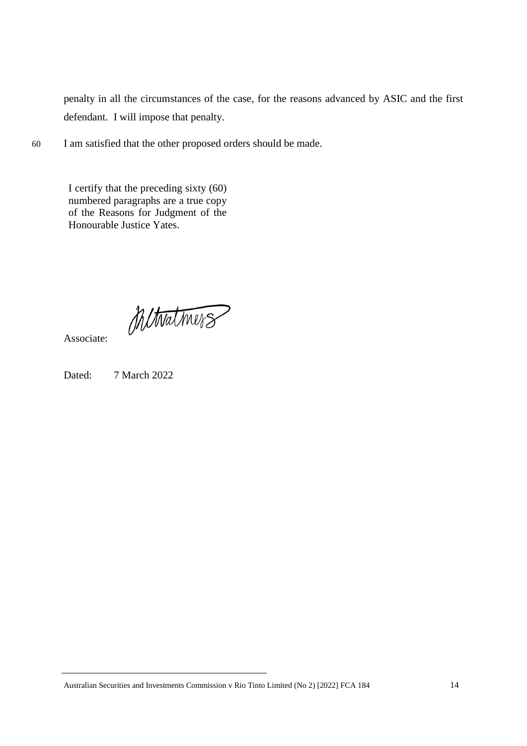penalty in all the circumstances of the case, for the reasons advanced by ASIC and the first defendant. I will impose that penalty.

60 I am satisfied that the other proposed orders should be made.

I certify that the preceding sixty (60) numbered paragraphs are a true copy of the Reasons for Judgment of the Honourable Justice Yates.

Mitwatmers

Associate:

Dated: 7 March 2022

Australian Securities and Investments Commission v Rio Tinto Limited (No 2) [2022] FCA 184 14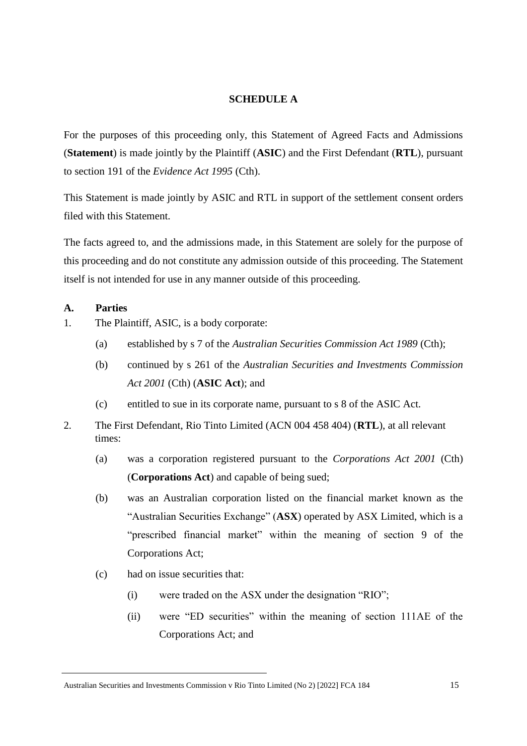#### **SCHEDULE A**

For the purposes of this proceeding only, this Statement of Agreed Facts and Admissions (**Statement**) is made jointly by the Plaintiff (**ASIC**) and the First Defendant (**RTL**), pursuant to section 191 of the *Evidence Act 1995* (Cth).

This Statement is made jointly by ASIC and RTL in support of the settlement consent orders filed with this Statement.

The facts agreed to, and the admissions made, in this Statement are solely for the purpose of this proceeding and do not constitute any admission outside of this proceeding. The Statement itself is not intended for use in any manner outside of this proceeding.

#### **A. Parties**

- 1. The Plaintiff, ASIC, is a body corporate:
	- (a) established by s 7 of the *Australian Securities Commission Act 1989* (Cth);
	- (b) continued by s 261 of the *Australian Securities and Investments Commission Act 2001* (Cth) (**ASIC Act**); and
	- (c) entitled to sue in its corporate name, pursuant to s 8 of the ASIC Act.
- 2. The First Defendant, Rio Tinto Limited (ACN 004 458 404) (**RTL**), at all relevant times:
	- (a) was a corporation registered pursuant to the *Corporations Act 2001* (Cth) (**Corporations Act**) and capable of being sued;
	- (b) was an Australian corporation listed on the financial market known as the "Australian Securities Exchange" (**ASX**) operated by ASX Limited, which is a "prescribed financial market" within the meaning of section 9 of the Corporations Act;
	- (c) had on issue securities that:
		- (i) were traded on the ASX under the designation "RIO";
		- (ii) were "ED securities" within the meaning of section 111AE of the Corporations Act; and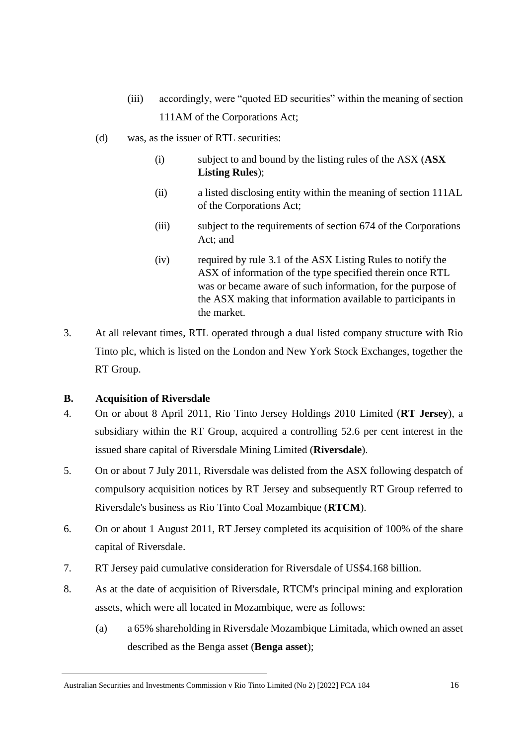- (iii) accordingly, were "quoted ED securities" within the meaning of section 111AM of the Corporations Act;
- (d) was, as the issuer of RTL securities:
	- (i) subject to and bound by the listing rules of the ASX (**ASX Listing Rules**);
	- (ii) a listed disclosing entity within the meaning of section 111AL of the Corporations Act;
	- (iii) subject to the requirements of section 674 of the Corporations Act; and
	- (iv) required by rule 3.1 of the ASX Listing Rules to notify the ASX of information of the type specified therein once RTL was or became aware of such information, for the purpose of the ASX making that information available to participants in the market.
- 3. At all relevant times, RTL operated through a dual listed company structure with Rio Tinto plc, which is listed on the London and New York Stock Exchanges, together the RT Group.

## **B. Acquisition of Riversdale**

- 4. On or about 8 April 2011, Rio Tinto Jersey Holdings 2010 Limited (**RT Jersey**), a subsidiary within the RT Group, acquired a controlling 52.6 per cent interest in the issued share capital of Riversdale Mining Limited (**Riversdale**).
- 5. On or about 7 July 2011, Riversdale was delisted from the ASX following despatch of compulsory acquisition notices by RT Jersey and subsequently RT Group referred to Riversdale's business as Rio Tinto Coal Mozambique (**RTCM**).
- 6. On or about 1 August 2011, RT Jersey completed its acquisition of 100% of the share capital of Riversdale.
- 7. RT Jersey paid cumulative consideration for Riversdale of US\$4.168 billion.
- 8. As at the date of acquisition of Riversdale, RTCM's principal mining and exploration assets, which were all located in Mozambique, were as follows:
	- (a) a 65% shareholding in Riversdale Mozambique Limitada, which owned an asset described as the Benga asset (**Benga asset**);

Australian Securities and Investments Commission v Rio Tinto Limited (No 2) [2022] FCA 184 16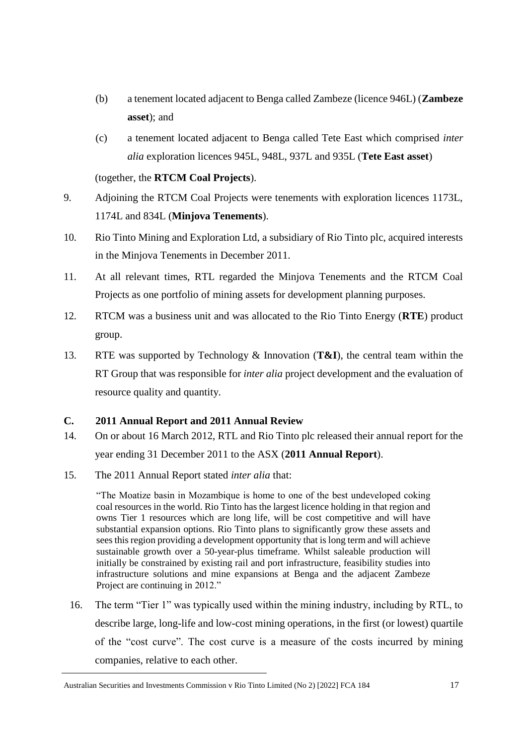- (b) a tenement located adjacent to Benga called Zambeze (licence 946L) (**Zambeze asset**); and
- (c) a tenement located adjacent to Benga called Tete East which comprised *inter alia* exploration licences 945L, 948L, 937L and 935L (**Tete East asset**)

(together, the **RTCM Coal Projects**).

- 9. Adjoining the RTCM Coal Projects were tenements with exploration licences 1173L, 1174L and 834L (**Minjova Tenements**).
- 10. Rio Tinto Mining and Exploration Ltd, a subsidiary of Rio Tinto plc, acquired interests in the Minjova Tenements in December 2011.
- 11. At all relevant times, RTL regarded the Minjova Tenements and the RTCM Coal Projects as one portfolio of mining assets for development planning purposes.
- 12. RTCM was a business unit and was allocated to the Rio Tinto Energy (**RTE**) product group.
- 13. RTE was supported by Technology & Innovation (**T&I**), the central team within the RT Group that was responsible for *inter alia* project development and the evaluation of resource quality and quantity.

## **C. 2011 Annual Report and 2011 Annual Review**

- 14. On or about 16 March 2012, RTL and Rio Tinto plc released their annual report for the year ending 31 December 2011 to the ASX (**2011 Annual Report**).
- 15. The 2011 Annual Report stated *inter alia* that:

"The Moatize basin in Mozambique is home to one of the best undeveloped coking coal resources in the world. Rio Tinto has the largest licence holding in that region and owns Tier 1 resources which are long life, will be cost competitive and will have substantial expansion options. Rio Tinto plans to significantly grow these assets and sees this region providing a development opportunity that is long term and will achieve sustainable growth over a 50-year-plus timeframe. Whilst saleable production will initially be constrained by existing rail and port infrastructure, feasibility studies into infrastructure solutions and mine expansions at Benga and the adjacent Zambeze Project are continuing in 2012."

16. The term "Tier 1" was typically used within the mining industry, including by RTL, to describe large, long-life and low-cost mining operations, in the first (or lowest) quartile of the "cost curve". The cost curve is a measure of the costs incurred by mining companies, relative to each other.

Australian Securities and Investments Commission v Rio Tinto Limited (No 2) [2022] FCA 184 17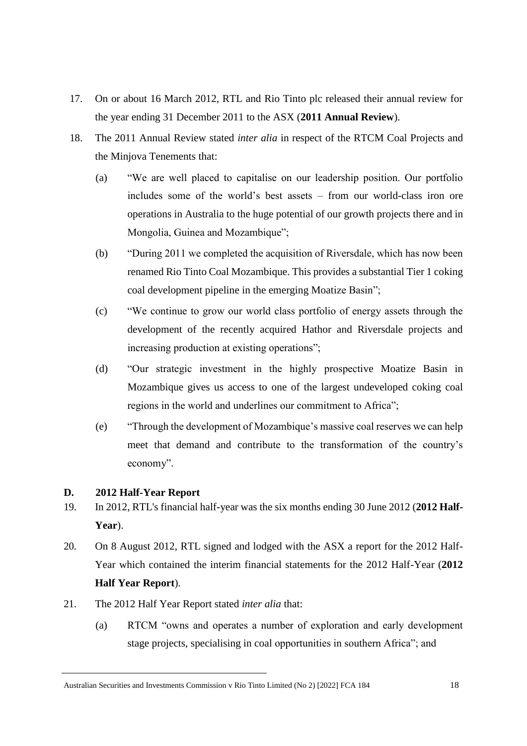- 17. On or about 16 March 2012, RTL and Rio Tinto plc released their annual review for the year ending 31 December 2011 to the ASX (**2011 Annual Review**).
- 18. The 2011 Annual Review stated *inter alia* in respect of the RTCM Coal Projects and the Minjova Tenements that:
	- (a) "We are well placed to capitalise on our leadership position. Our portfolio includes some of the world's best assets – from our world-class iron ore operations in Australia to the huge potential of our growth projects there and in Mongolia, Guinea and Mozambique";
	- (b) "During 2011 we completed the acquisition of Riversdale, which has now been renamed Rio Tinto Coal Mozambique. This provides a substantial Tier 1 coking coal development pipeline in the emerging Moatize Basin";
	- (c) "We continue to grow our world class portfolio of energy assets through the development of the recently acquired Hathor and Riversdale projects and increasing production at existing operations";
	- (d) "Our strategic investment in the highly prospective Moatize Basin in Mozambique gives us access to one of the largest undeveloped coking coal regions in the world and underlines our commitment to Africa";
	- (e) "Through the development of Mozambique's massive coal reserves we can help meet that demand and contribute to the transformation of the country's economy".

## **D. 2012 Half-Year Report**

- 19. In 2012, RTL's financial half-year was the six months ending 30 June 2012 (**2012 Half-Year**).
- 20. On 8 August 2012, RTL signed and lodged with the ASX a report for the 2012 Half-Year which contained the interim financial statements for the 2012 Half-Year (**2012 Half Year Report**).
- 21. The 2012 Half Year Report stated *inter alia* that:
	- (a) RTCM "owns and operates a number of exploration and early development stage projects, specialising in coal opportunities in southern Africa"; and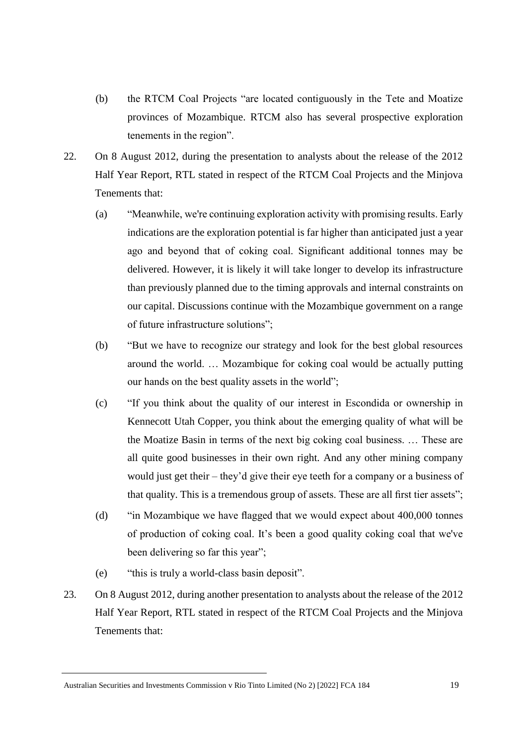- (b) the RTCM Coal Projects "are located contiguously in the Tete and Moatize provinces of Mozambique. RTCM also has several prospective exploration tenements in the region".
- 22. On 8 August 2012, during the presentation to analysts about the release of the 2012 Half Year Report, RTL stated in respect of the RTCM Coal Projects and the Minjova Tenements that:
	- (a) "Meanwhile, we're continuing exploration activity with promising results. Early indications are the exploration potential is far higher than anticipated just a year ago and beyond that of coking coal. Significant additional tonnes may be delivered. However, it is likely it will take longer to develop its infrastructure than previously planned due to the timing approvals and internal constraints on our capital. Discussions continue with the Mozambique government on a range of future infrastructure solutions";
	- (b) "But we have to recognize our strategy and look for the best global resources around the world. … Mozambique for coking coal would be actually putting our hands on the best quality assets in the world";
	- (c) "If you think about the quality of our interest in Escondida or ownership in Kennecott Utah Copper, you think about the emerging quality of what will be the Moatize Basin in terms of the next big coking coal business. … These are all quite good businesses in their own right. And any other mining company would just get their – they'd give their eye teeth for a company or a business of that quality. This is a tremendous group of assets. These are all first tier assets";
	- (d) "in Mozambique we have flagged that we would expect about 400,000 tonnes of production of coking coal. It's been a good quality coking coal that we've been delivering so far this year";
	- (e) "this is truly a world-class basin deposit".
- 23. On 8 August 2012, during another presentation to analysts about the release of the 2012 Half Year Report, RTL stated in respect of the RTCM Coal Projects and the Minjova Tenements that:

Australian Securities and Investments Commission v Rio Tinto Limited (No 2) [2022] FCA 184 19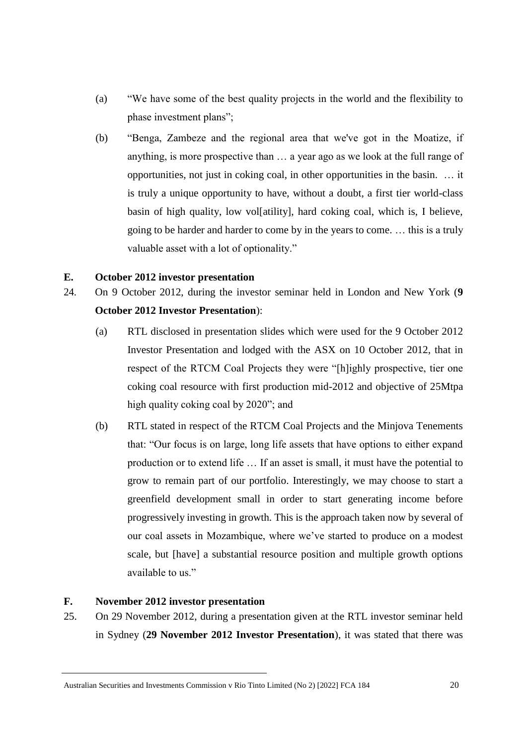- (a) "We have some of the best quality projects in the world and the flexibility to phase investment plans";
- (b) "Benga, Zambeze and the regional area that we've got in the Moatize, if anything, is more prospective than … a year ago as we look at the full range of opportunities, not just in coking coal, in other opportunities in the basin. … it is truly a unique opportunity to have, without a doubt, a first tier world-class basin of high quality, low vol[atility], hard coking coal, which is, I believe, going to be harder and harder to come by in the years to come. … this is a truly valuable asset with a lot of optionality."

#### **E. October 2012 investor presentation**

- 24. On 9 October 2012, during the investor seminar held in London and New York (**9 October 2012 Investor Presentation**):
	- (a) RTL disclosed in presentation slides which were used for the 9 October 2012 Investor Presentation and lodged with the ASX on 10 October 2012, that in respect of the RTCM Coal Projects they were "[h]ighly prospective, tier one coking coal resource with first production mid-2012 and objective of 25Mtpa high quality coking coal by 2020"; and
	- (b) RTL stated in respect of the RTCM Coal Projects and the Minjova Tenements that: "Our focus is on large, long life assets that have options to either expand production or to extend life … If an asset is small, it must have the potential to grow to remain part of our portfolio. Interestingly, we may choose to start a greenfield development small in order to start generating income before progressively investing in growth. This is the approach taken now by several of our coal assets in Mozambique, where we've started to produce on a modest scale, but [have] a substantial resource position and multiple growth options available to us."

#### **F. November 2012 investor presentation**

25. On 29 November 2012, during a presentation given at the RTL investor seminar held in Sydney (**29 November 2012 Investor Presentation**), it was stated that there was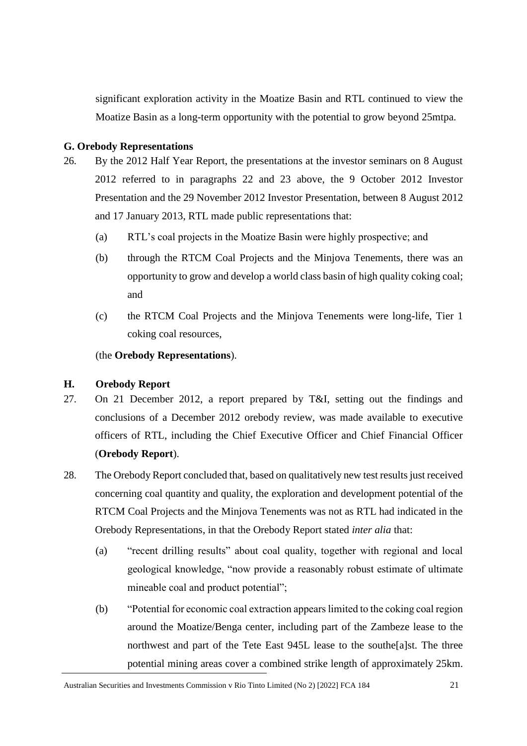significant exploration activity in the Moatize Basin and RTL continued to view the Moatize Basin as a long-term opportunity with the potential to grow beyond 25mtpa.

## **G. Orebody Representations**

- 26. By the 2012 Half Year Report, the presentations at the investor seminars on 8 August 2012 referred to in paragraphs 22 and 23 above, the 9 October 2012 Investor Presentation and the 29 November 2012 Investor Presentation, between 8 August 2012 and 17 January 2013, RTL made public representations that:
	- (a) RTL's coal projects in the Moatize Basin were highly prospective; and
	- (b) through the RTCM Coal Projects and the Minjova Tenements, there was an opportunity to grow and develop a world class basin of high quality coking coal; and
	- (c) the RTCM Coal Projects and the Minjova Tenements were long-life, Tier 1 coking coal resources,

#### (the **Orebody Representations**).

#### **H. Orebody Report**

- 27. On 21 December 2012, a report prepared by T&I, setting out the findings and conclusions of a December 2012 orebody review, was made available to executive officers of RTL, including the Chief Executive Officer and Chief Financial Officer (**Orebody Report**).
- 28. The Orebody Report concluded that, based on qualitatively new test results just received concerning coal quantity and quality, the exploration and development potential of the RTCM Coal Projects and the Minjova Tenements was not as RTL had indicated in the Orebody Representations, in that the Orebody Report stated *inter alia* that:
	- (a) "recent drilling results" about coal quality, together with regional and local geological knowledge, "now provide a reasonably robust estimate of ultimate mineable coal and product potential";
	- (b) "Potential for economic coal extraction appears limited to the coking coal region around the Moatize/Benga center, including part of the Zambeze lease to the northwest and part of the Tete East 945L lease to the southe[a]st. The three potential mining areas cover a combined strike length of approximately 25km.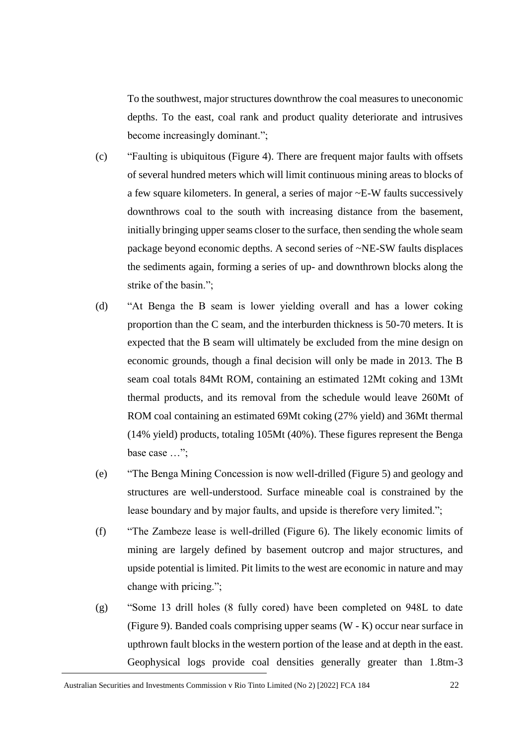To the southwest, major structures downthrow the coal measures to uneconomic depths. To the east, coal rank and product quality deteriorate and intrusives become increasingly dominant.";

- (c) "Faulting is ubiquitous (Figure 4). There are frequent major faults with offsets of several hundred meters which will limit continuous mining areas to blocks of a few square kilometers. In general, a series of major ~E-W faults successively downthrows coal to the south with increasing distance from the basement, initially bringing upper seams closer to the surface, then sending the whole seam package beyond economic depths. A second series of ~NE-SW faults displaces the sediments again, forming a series of up- and downthrown blocks along the strike of the basin.";
- (d) "At Benga the B seam is lower yielding overall and has a lower coking proportion than the C seam, and the interburden thickness is 50-70 meters. It is expected that the B seam will ultimately be excluded from the mine design on economic grounds, though a final decision will only be made in 2013. The B seam coal totals 84Mt ROM, containing an estimated 12Mt coking and 13Mt thermal products, and its removal from the schedule would leave 260Mt of ROM coal containing an estimated 69Mt coking (27% yield) and 36Mt thermal (14% yield) products, totaling 105Mt (40%). These figures represent the Benga base case …";
- (e) "The Benga Mining Concession is now well-drilled (Figure 5) and geology and structures are well-understood. Surface mineable coal is constrained by the lease boundary and by major faults, and upside is therefore very limited.";
- (f) "The Zambeze lease is well-drilled (Figure 6). The likely economic limits of mining are largely defined by basement outcrop and major structures, and upside potential is limited. Pit limits to the west are economic in nature and may change with pricing.";
- (g) "Some 13 drill holes (8 fully cored) have been completed on 948L to date (Figure 9). Banded coals comprising upper seams (W - K) occur near surface in upthrown fault blocks in the western portion of the lease and at depth in the east. Geophysical logs provide coal densities generally greater than 1.8tm-3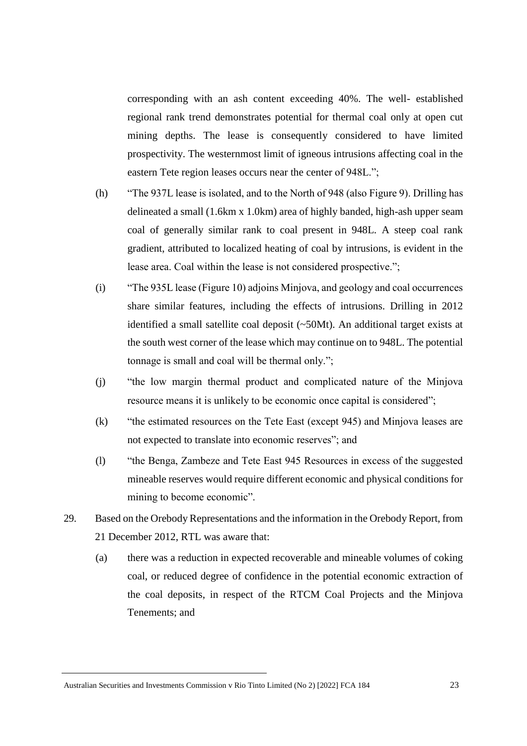corresponding with an ash content exceeding 40%. The well- established regional rank trend demonstrates potential for thermal coal only at open cut mining depths. The lease is consequently considered to have limited prospectivity. The westernmost limit of igneous intrusions affecting coal in the eastern Tete region leases occurs near the center of 948L.";

- (h) "The 937L lease is isolated, and to the North of 948 (also Figure 9). Drilling has delineated a small (1.6km x 1.0km) area of highly banded, high-ash upper seam coal of generally similar rank to coal present in 948L. A steep coal rank gradient, attributed to localized heating of coal by intrusions, is evident in the lease area. Coal within the lease is not considered prospective.";
- (i) "The 935L lease (Figure 10) adjoins Minjova, and geology and coal occurrences share similar features, including the effects of intrusions. Drilling in 2012 identified a small satellite coal deposit (~50Mt). An additional target exists at the south west corner of the lease which may continue on to 948L. The potential tonnage is small and coal will be thermal only.";
- (j) "the low margin thermal product and complicated nature of the Minjova resource means it is unlikely to be economic once capital is considered";
- (k) "the estimated resources on the Tete East (except 945) and Minjova leases are not expected to translate into economic reserves"; and
- (l) "the Benga, Zambeze and Tete East 945 Resources in excess of the suggested mineable reserves would require different economic and physical conditions for mining to become economic".
- 29. Based on the Orebody Representations and the information in the Orebody Report, from 21 December 2012, RTL was aware that:
	- (a) there was a reduction in expected recoverable and mineable volumes of coking coal, or reduced degree of confidence in the potential economic extraction of the coal deposits, in respect of the RTCM Coal Projects and the Minjova Tenements; and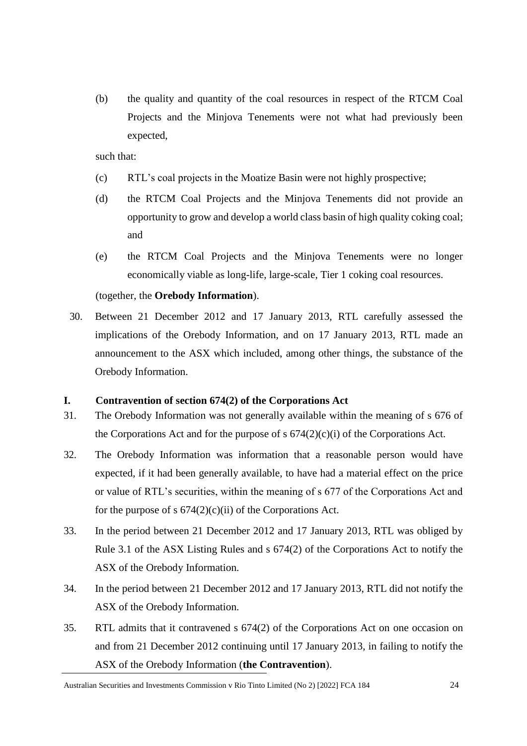(b) the quality and quantity of the coal resources in respect of the RTCM Coal Projects and the Minjova Tenements were not what had previously been expected,

such that:

- (c) RTL's coal projects in the Moatize Basin were not highly prospective;
- (d) the RTCM Coal Projects and the Minjova Tenements did not provide an opportunity to grow and develop a world class basin of high quality coking coal; and
- (e) the RTCM Coal Projects and the Minjova Tenements were no longer economically viable as long-life, large-scale, Tier 1 coking coal resources.

(together, the **Orebody Information**).

30. Between 21 December 2012 and 17 January 2013, RTL carefully assessed the implications of the Orebody Information, and on 17 January 2013, RTL made an announcement to the ASX which included, among other things, the substance of the Orebody Information.

## **I. Contravention of section 674(2) of the Corporations Act**

- 31. The Orebody Information was not generally available within the meaning of s 676 of the Corporations Act and for the purpose of s  $674(2)(c)(i)$  of the Corporations Act.
- 32. The Orebody Information was information that a reasonable person would have expected, if it had been generally available, to have had a material effect on the price or value of RTL's securities, within the meaning of s 677 of the Corporations Act and for the purpose of s  $674(2)(c)(ii)$  of the Corporations Act.
- 33. In the period between 21 December 2012 and 17 January 2013, RTL was obliged by Rule 3.1 of the ASX Listing Rules and s 674(2) of the Corporations Act to notify the ASX of the Orebody Information.
- 34. In the period between 21 December 2012 and 17 January 2013, RTL did not notify the ASX of the Orebody Information.
- 35. RTL admits that it contravened s 674(2) of the Corporations Act on one occasion on and from 21 December 2012 continuing until 17 January 2013, in failing to notify the ASX of the Orebody Information (**the Contravention**).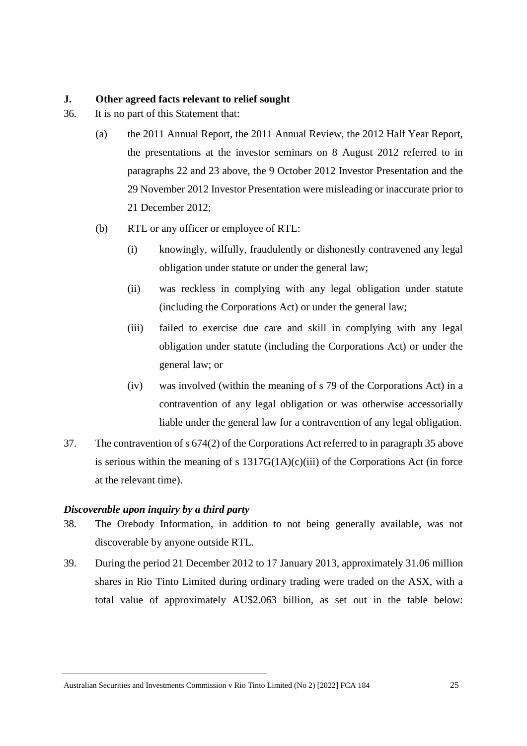#### **J. Other agreed facts relevant to relief sought**

- 36. It is no part of this Statement that:
	- (a) the 2011 Annual Report, the 2011 Annual Review, the 2012 Half Year Report, the presentations at the investor seminars on 8 August 2012 referred to in paragraphs 22 and 23 above, the 9 October 2012 Investor Presentation and the 29 November 2012 Investor Presentation were misleading or inaccurate prior to 21 December 2012;
	- (b) RTL or any officer or employee of RTL:
		- (i) knowingly, wilfully, fraudulently or dishonestly contravened any legal obligation under statute or under the general law;
		- (ii) was reckless in complying with any legal obligation under statute (including the Corporations Act) or under the general law;
		- (iii) failed to exercise due care and skill in complying with any legal obligation under statute (including the Corporations Act) or under the general law; or
		- (iv) was involved (within the meaning of s 79 of the Corporations Act) in a contravention of any legal obligation or was otherwise accessorially liable under the general law for a contravention of any legal obligation.
- 37. The contravention of s 674(2) of the Corporations Act referred to in paragraph 35 above is serious within the meaning of s  $1317G(1A)(c)(iii)$  of the Corporations Act (in force at the relevant time).

## *Discoverable upon inquiry by a third party*

- 38. The Orebody Information, in addition to not being generally available, was not discoverable by anyone outside RTL.
- 39. During the period 21 December 2012 to 17 January 2013, approximately 31.06 million shares in Rio Tinto Limited during ordinary trading were traded on the ASX, with a total value of approximately AU\$2.063 billion, as set out in the table below: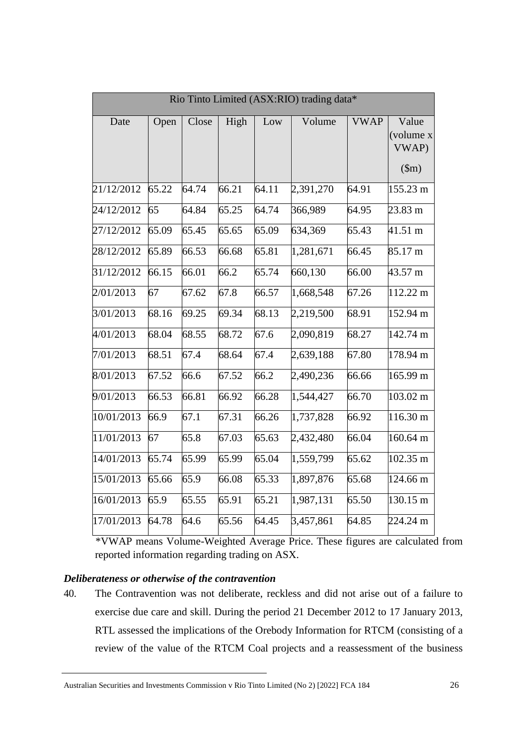| Rio Tinto Limited (ASX:RIO) trading data* |       |       |       |       |           |             |                                      |  |  |
|-------------------------------------------|-------|-------|-------|-------|-----------|-------------|--------------------------------------|--|--|
| Date                                      | Open  | Close | High  | Low   | Volume    | <b>VWAP</b> | Value<br>(volume x<br>VWAP)<br>\$m\$ |  |  |
| 21/12/2012                                | 65.22 | 64.74 | 66.21 | 64.11 | 2,391,270 | 64.91       | 155.23 m                             |  |  |
| 24/12/2012                                | 65    | 64.84 | 65.25 | 64.74 | 366,989   | 64.95       | 23.83 m                              |  |  |
| 27/12/2012                                | 65.09 | 65.45 | 65.65 | 65.09 | 634,369   | 65.43       | 41.51 m                              |  |  |
| 28/12/2012                                | 65.89 | 66.53 | 66.68 | 65.81 | 1,281,671 | 66.45       | 85.17 m                              |  |  |
| 31/12/2012                                | 66.15 | 66.01 | 66.2  | 65.74 | 660,130   | 66.00       | 43.57 m                              |  |  |
| 2/01/2013                                 | 67    | 67.62 | 67.8  | 66.57 | 1,668,548 | 67.26       | 112.22 m                             |  |  |
| 3/01/2013                                 | 68.16 | 69.25 | 69.34 | 68.13 | 2,219,500 | 68.91       | 152.94 m                             |  |  |
| 4/01/2013                                 | 68.04 | 68.55 | 68.72 | 67.6  | 2,090,819 | 68.27       | 142.74 m                             |  |  |
| 7/01/2013                                 | 68.51 | 67.4  | 68.64 | 67.4  | 2,639,188 | 67.80       | 178.94 m                             |  |  |
| 8/01/2013                                 | 67.52 | 66.6  | 67.52 | 66.2  | 2,490,236 | 66.66       | 165.99 m                             |  |  |
| 9/01/2013                                 | 66.53 | 66.81 | 66.92 | 66.28 | 1,544,427 | 66.70       | 103.02 m                             |  |  |
| 10/01/2013                                | 66.9  | 67.1  | 67.31 | 66.26 | 1,737,828 | 66.92       | 116.30 m                             |  |  |
| 11/01/2013                                | 67    | 65.8  | 67.03 | 65.63 | 2,432,480 | 66.04       | 160.64 m                             |  |  |
| 14/01/2013                                | 65.74 | 65.99 | 65.99 | 65.04 | 1,559,799 | 65.62       | 102.35 m                             |  |  |
| 15/01/2013                                | 65.66 | 65.9  | 66.08 | 65.33 | 1,897,876 | 65.68       | 124.66 m                             |  |  |
| 16/01/2013                                | 65.9  | 65.55 | 65.91 | 65.21 | 1,987,131 | 65.50       | 130.15 m                             |  |  |
| 17/01/2013                                | 64.78 | 64.6  | 65.56 | 64.45 | 3,457,861 | 64.85       | 224.24 m                             |  |  |

\*VWAP means Volume-Weighted Average Price. These figures are calculated from reported information regarding trading on ASX.

#### *Deliberateness or otherwise of the contravention*

40. The Contravention was not deliberate, reckless and did not arise out of a failure to exercise due care and skill. During the period 21 December 2012 to 17 January 2013, RTL assessed the implications of the Orebody Information for RTCM (consisting of a review of the value of the RTCM Coal projects and a reassessment of the business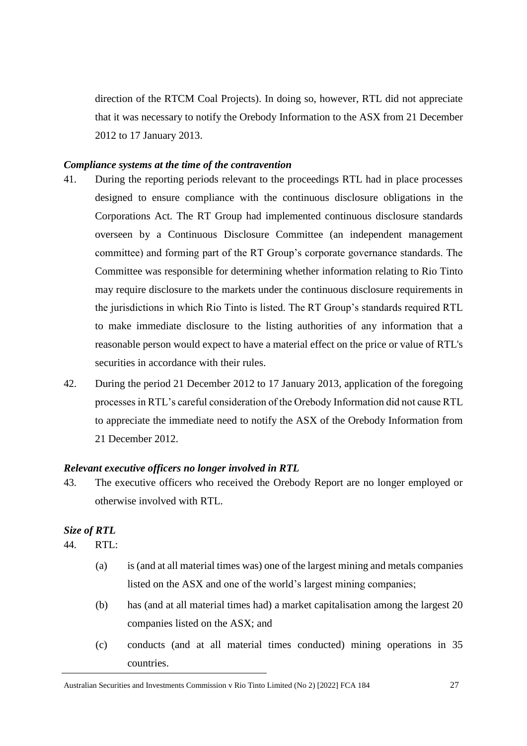direction of the RTCM Coal Projects). In doing so, however, RTL did not appreciate that it was necessary to notify the Orebody Information to the ASX from 21 December 2012 to 17 January 2013.

#### *Compliance systems at the time of the contravention*

- 41. During the reporting periods relevant to the proceedings RTL had in place processes designed to ensure compliance with the continuous disclosure obligations in the Corporations Act. The RT Group had implemented continuous disclosure standards overseen by a Continuous Disclosure Committee (an independent management committee) and forming part of the RT Group's corporate governance standards. The Committee was responsible for determining whether information relating to Rio Tinto may require disclosure to the markets under the continuous disclosure requirements in the jurisdictions in which Rio Tinto is listed. The RT Group's standards required RTL to make immediate disclosure to the listing authorities of any information that a reasonable person would expect to have a material effect on the price or value of RTL's securities in accordance with their rules.
- 42. During the period 21 December 2012 to 17 January 2013, application of the foregoing processes in RTL's careful consideration of the Orebody Information did not cause RTL to appreciate the immediate need to notify the ASX of the Orebody Information from 21 December 2012.

#### *Relevant executive officers no longer involved in RTL*

43. The executive officers who received the Orebody Report are no longer employed or otherwise involved with RTL.

#### *Size of RTL*

- 44. RTL:
	- (a) is (and at all material times was) one of the largest mining and metals companies listed on the ASX and one of the world's largest mining companies;
	- (b) has (and at all material times had) a market capitalisation among the largest 20 companies listed on the ASX; and
	- (c) conducts (and at all material times conducted) mining operations in 35 countries.